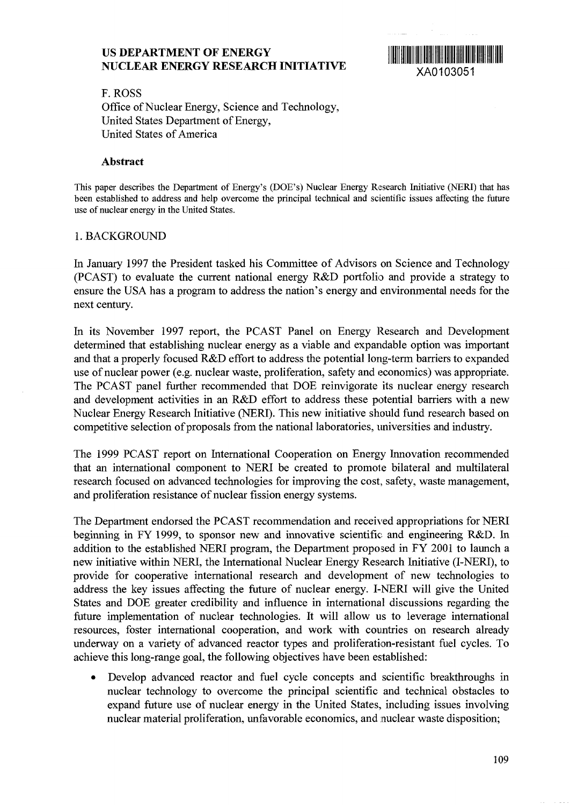# **US DEPARTMENT OF ENERGY** US DEPARTMENT OF ENERGY<br>NUCLEAR ENERGY RESEARCH INITIATIVE XA0103051

F. ROSS Office of Nuclear Energy, Science and Technology, United States Department of Energy, United States of America

#### **Abstract**

This paper describes the Department of Energy's (DOE's) Nuclear Energy Research Initiative (NERI) that has been established to address and help overcome the principal technical and scientific issues affecting the future use of nuclear energy in the United States.

#### 1. BACKGROUND

In January 1997 the President tasked his Committee of Advisors on Science and Technology (PCAST) to evaluate the current national energy R&D portfolio and provide a strategy to ensure the USA has a program to address the nation's energy and environmental needs for the next century.

In its November 1997 report, the PCAST Panel on Energy Research and Development determined that establishing nuclear energy as a viable and expandable option was important and that a properly focused R&D effort to address the potential long-term barriers to expanded use of nuclear power (e.g. nuclear waste, proliferation, safety and economics) was appropriate. The PCAST panel further recommended that DOE reinvigorate its nuclear energy research and development activities in an R&D effort to address these potential barriers with a new Nuclear Energy Research Initiative (NERI). This new initiative should fund research based on competitive selection of proposals from the national laboratories, universities and industry.

The 1999 PCAST report on International Cooperation on Energy Innovation recommended that an international component to NERI be created to promote bilateral and multilateral research focused on advanced technologies for improving the cost, safety, waste management, and proliferation resistance of nuclear fission energy systems.

The Department endorsed the PCAST recommendation and received appropriations for NERI beginning in FY 1999, to sponsor new and innovative scientific and engineering R&D. In addition to the established NERI program, the Department proposed in FY 2001 to launch a new initiative within NERI, the International Nuclear Energy Research Initiative (I-NERI), to provide for cooperative international research and development of new technologies to address the key issues affecting the future of nuclear energy. I-NERI will give the United States and DOE greater credibility and influence in international discussions regarding the future implementation of nuclear technologies. It will allow us to leverage international resources, foster international cooperation, and work with countries on research already underway on a variety of advanced reactor types and proliferation-resistant fuel cycles. To achieve this long-range goal, the following objectives have been established:

• Develop advanced reactor and fuel cycle concepts and scientific breakthroughs in nuclear technology to overcome the principal scientific and technical obstacles to expand future use of nuclear energy in the United States, including issues involving nuclear material proliferation, unfavorable economics, and nuclear waste disposition;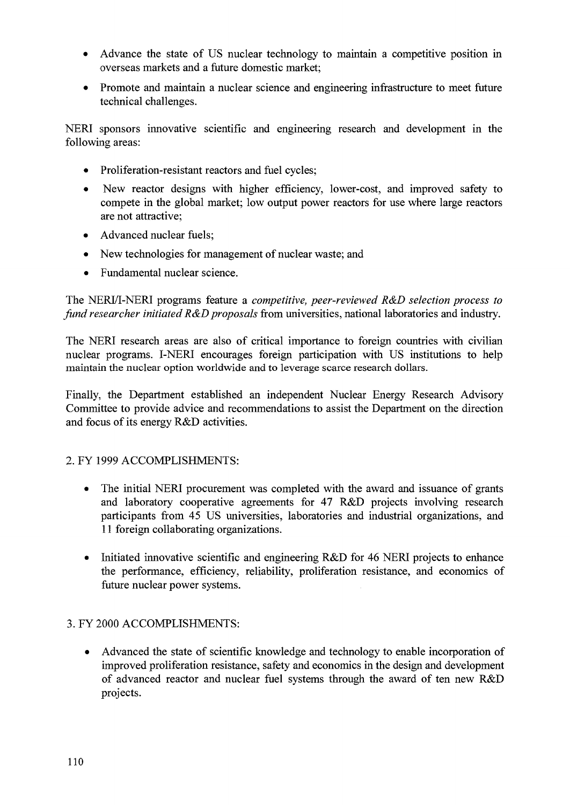- Advance the state of US nuclear technology to maintain a competitive position in overseas markets and a future domestic market;
- Promote and maintain a nuclear science and engineering infrastructure to meet future technical challenges.

NERI sponsors innovative scientific and engineering research and development in the following areas:

- Proliferation-resistant reactors and fuel cycles;
- New reactor designs with higher efficiency, lower-cost, and improved safety to compete in the global market; low output power reactors for use where large reactors are not attractive;
- Advanced nuclear fuels;
- New technologies for management of nuclear waste; and
- Fundamental nuclear science.

The NERI/I-NERI programs feature a *competitive, peer-reviewed R&D selection process to fund researcher initiated R&D proposals* from universities, national laboratories and industry.

The NERI research areas are also of critical importance to foreign countries with civilian nuclear programs. I-NERI encourages foreign participation with US institutions to help maintain the nuclear option worldwide and to leverage scarce research dollars.

Finally, the Department established an independent Nuclear Energy Research Advisory Committee to provide advice and recommendations to assist the Department on the direction and focus of its energy R&D activities.

## 2. FY 1999 ACCOMPLISHMENTS:

- The initial NERI procurement was completed with the award and issuance of grants and laboratory cooperative agreements for 47 R&D projects involving research participants from 45 US universities, laboratories and industrial organizations, and 11 foreign collaborating organizations.
- Initiated innovative scientific and engineering R&D for 46 NERI projects to enhance the performance, efficiency, reliability, proliferation resistance, and economics of future nuclear power systems.

## 3. FY 2000 ACCOMPLISHMENTS:

• Advanced the state of scientific knowledge and technology to enable incorporation of improved proliferation resistance, safety and economics in the design and development of advanced reactor and nuclear fuel systems through the award of ten new R&D projects.